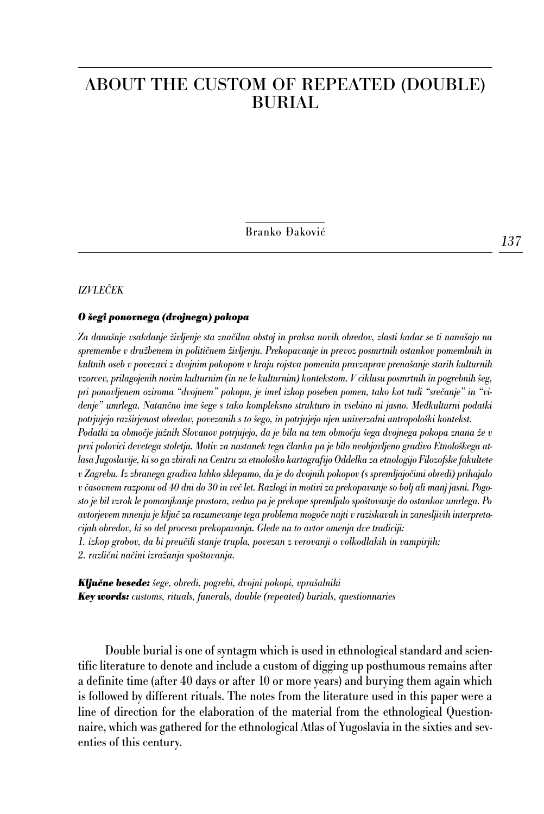# ABOUT THE CUSTOM OF REPEATED (DOUBLE) BURIAL

Branko Đaković

### *IZVLEČEK*

### *O šegi ponovnega (dvojnega) pokopa*

*Za današnje vsakdanje življenje sta značilna obstoj in praksa novih obredov, zlasti kadar se ti nanašajo na spremembe v družbenem in političnem življenju. Prekopavanje in prevoz posmrtnih ostankov pomembnih in kultnih oseb v povezavi z dvojnim pokopom v kraju rojstva pomenita pravzaprav prenašanje starih kulturnih vzorcev, prilagojenih novim kulturnim (in ne le kulturnim) kontekstom. V ciklusu posmrtnih in pogrebnih šeg, pri ponovljenem oziroma "dvojnem" pokopu, je imel izkop poseben pomen, tako kot tudi "srečanje" in "videnje" umrlega. Natančno ime šege s tako kompleksno strukturo in vsebino ni jasno. Medkulturni podatki potrjujejo razširjenost obredov, povezanih s to šego, in potrjujejo njen univerzalni antropološki kontekst. Podatki za območje južnih Slovanov potrjujejo, da je bila na tem območju šega dvojnega pokopa znana že v prvi polovici devetega stoletja. Motiv za nastanek tega članka pa je bilo neobjavljeno gradivo Etnološkega atlasa Jugoslavije, ki so ga zbirali na Centru za etnološko kartografijo Oddelka za etnologijo Filozofske fakultete v Zagrebu. Iz zbranega gradiva lahko sklepamo, da je do dvojnih pokopov (s spremljajočimi obredi) prihajalo v časovnem razponu od 40 dni do 30 in več let. Razlogi in motivi za prekopavanje so bolj ali manj jasni. Pogosto je bil vzrok le pomanjkanje prostora, vedno pa je prekope spremljalo spoštovanje do ostankov umrlega. Po avtorjevem mnenju je ključ za razumevanje tega problema mogoče najti v raziskavah in zanesljivih interpretacijah obredov, ki so del procesa prekopavanja. Glede na to avtor omenja dve tradiciji:*

*1. izkop grobov, da bi preučili stanje trupla, povezan z verovanji o volkodlakih in vampirjih;*

*2. različni načini izražanja spoštovanja.*

*Ključne besede: šege, obredi, pogrebi, dvojni pokopi, vprašalniki Key words: customs, rituals, funerals, double (repeated) burials, questionnaries*

Double burial is one of syntagm which is used in ethnological standard and scientific literature to denote and include a custom of digging up posthumous remains after a definite time (after 40 days or after 10 or more years) and burying them again which is followed by different rituals. The notes from the literature used in this paper were a line of direction for the elaboration of the material from the ethnological Questionnaire, which was gathered for the ethnological Atlas of Yugoslavia in the sixties and seventies of this century.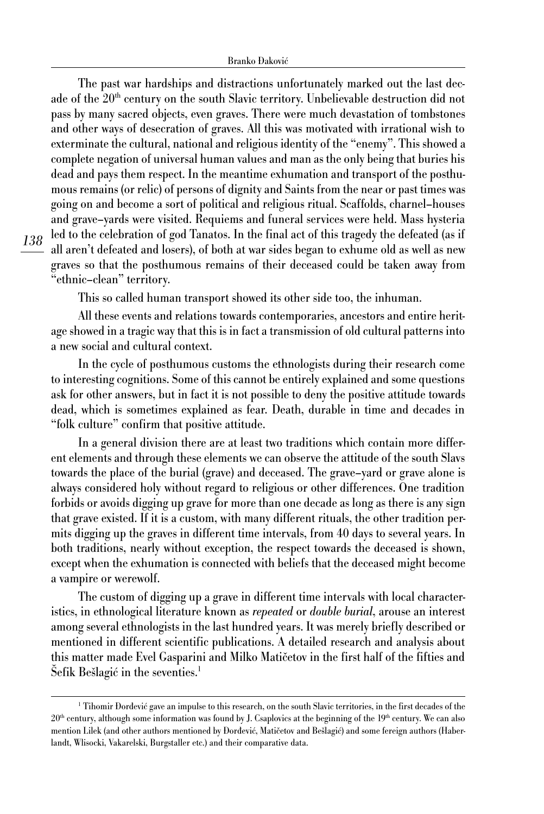The past war hardships and distractions unfortunately marked out the last decade of the  $20<sup>th</sup>$  century on the south Slavic territory. Unbelievable destruction did not pass by many sacred objects, even graves. There were much devastation of tombstones and other ways of desecration of graves. All this was motivated with irrational wish to exterminate the cultural, national and religious identity of the "enemy". This showed a complete negation of universal human values and man as the only being that buries his dead and pays them respect. In the meantime exhumation and transport of the posthumous remains (or relic) of persons of dignity and Saints from the near or past times was going on and become a sort of political and religious ritual. Scaffolds, charnel–houses and grave–yards were visited. Requiems and funeral services were held. Mass hysteria led to the celebration of god Tanatos. In the final act of this tragedy the defeated (as if all aren't defeated and losers), of both at war sides began to exhume old as well as new graves so that the posthumous remains of their deceased could be taken away from "ethnic–clean" territory.

This so called human transport showed its other side too, the inhuman.

All these events and relations towards contemporaries, ancestors and entire heritage showed in a tragic way that this is in fact a transmission of old cultural patterns into a new social and cultural context.

In the cycle of posthumous customs the ethnologists during their research come to interesting cognitions. Some of this cannot be entirely explained and some questions ask for other answers, but in fact it is not possible to deny the positive attitude towards dead, which is sometimes explained as fear. Death, durable in time and decades in "folk culture" confirm that positive attitude.

In a general division there are at least two traditions which contain more different elements and through these elements we can observe the attitude of the south Slavs towards the place of the burial (grave) and deceased. The grave–yard or grave alone is always considered holy without regard to religious or other differences. One tradition forbids or avoids digging up grave for more than one decade as long as there is any sign that grave existed. If it is a custom, with many different rituals, the other tradition permits digging up the graves in different time intervals, from 40 days to several years. In both traditions, nearly without exception, the respect towards the deceased is shown, except when the exhumation is connected with beliefs that the deceased might become a vampire or werewolf.

The custom of digging up a grave in different time intervals with local characteristics, in ethnological literature known as *repeated* or *double burial*, arouse an interest among several ethnologists in the last hundred years. It was merely briefly described or mentioned in different scientific publications. A detailed research and analysis about this matter made Evel Gasparini and Milko Matičetov in the first half of the fifties and Sefik Bešlagić in the seventies.<sup>1</sup>

<sup>&</sup>lt;sup>1</sup> Tihomir Đorđević gave an impulse to this research, on the south Slavic territories, in the first decades of the  $20<sup>th</sup>$  century, although some information was found by J. Csaplovics at the beginning of the  $19<sup>th</sup>$  century. We can also mention Lilek (and other authors mentioned by Đorđević, Matičetov and Bešlagić) and some fereign authors (Haberlandt, Wlisocki, Vakarelski, Burgstaller etc.) and their comparative data.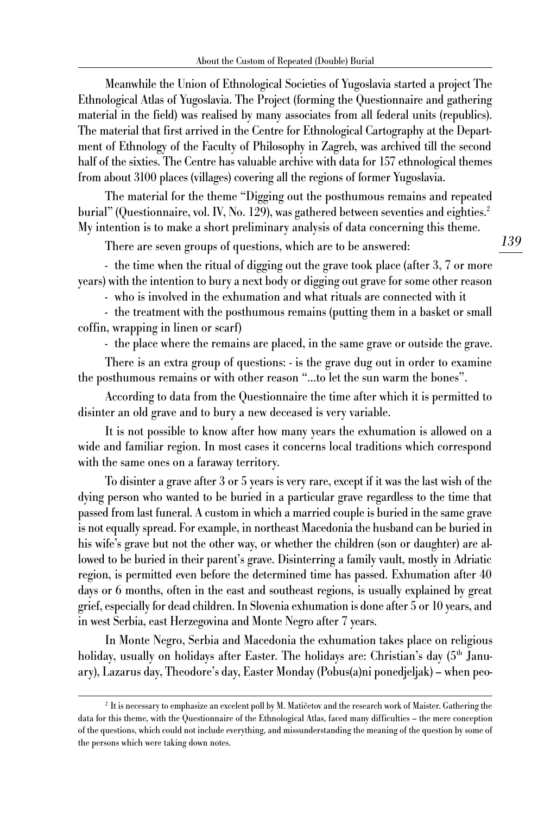Meanwhile the Union of Ethnological Societies of Yugoslavia started a project The Ethnological Atlas of Yugoslavia. The Project (forming the Questionnaire and gathering material in the field) was realised by many associates from all federal units (republics). The material that first arrived in the Centre for Ethnological Cartography at the Department of Ethnology of the Faculty of Philosophy in Zagreb, was archived till the second half of the sixties. The Centre has valuable archive with data for 157 ethnological themes from about 3100 places (villages) covering all the regions of former Yugoslavia.

The material for the theme "Digging out the posthumous remains and repeated burial" (Questionnaire, vol. IV, No. 129), was gathered between seventies and eighties.<sup>2</sup> My intention is to make a short preliminary analysis of data concerning this theme.

There are seven groups of questions, which are to be answered:

- the time when the ritual of digging out the grave took place (after 3, 7 or more years) with the intention to bury a next body or digging out grave for some other reason

- who is involved in the exhumation and what rituals are connected with it

- the treatment with the posthumous remains (putting them in a basket or small coffin, wrapping in linen or scarf)

- the place where the remains are placed, in the same grave or outside the grave.

There is an extra group of questions: - is the grave dug out in order to examine the posthumous remains or with other reason "…to let the sun warm the bones".

According to data from the Questionnaire the time after which it is permitted to disinter an old grave and to bury a new deceased is very variable.

It is not possible to know after how many years the exhumation is allowed on a wide and familiar region. In most cases it concerns local traditions which correspond with the same ones on a faraway territory.

To disinter a grave after 3 or 5 years is very rare, except if it was the last wish of the dying person who wanted to be buried in a particular grave regardless to the time that passed from last funeral. A custom in which a married couple is buried in the same grave is not equally spread. For example, in northeast Macedonia the husband can be buried in his wife's grave but not the other way, or whether the children (son or daughter) are allowed to be buried in their parent's grave. Disinterring a family vault, mostly in Adriatic region, is permitted even before the determined time has passed. Exhumation after 40 days or 6 months, often in the east and southeast regions, is usually explained by great grief, especially for dead children. In Slovenia exhumation is done after 5 or 10 years, and in west Serbia, east Herzegovina and Monte Negro after 7 years.

In Monte Negro, Serbia and Macedonia the exhumation takes place on religious holiday, usually on holidays after Easter. The holidays are: Christian's day (5<sup>th</sup> January), Lazarus day, Theodore's day, Easter Monday (Pobus(a)ni ponedjeljak) – when peo-

<sup>2</sup> It is necessary to emphasize an excelent poll by M. Matičetov and the research work of Maister. Gathering the data for this theme, with the Questionnaire of the Ethnological Atlas, faced many difficulties – the mere conception of the questions, which could not include everything, and missunderstanding the meaning of the question by some of the persons which were taking down notes.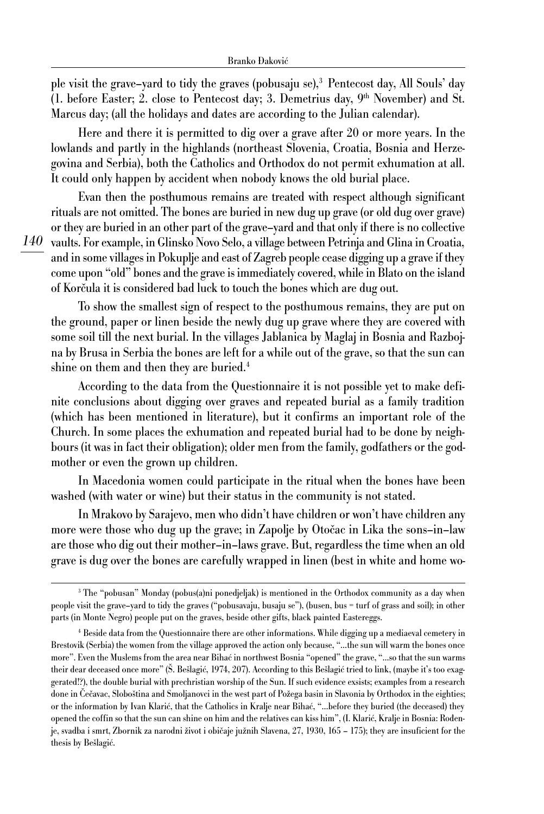ple visit the grave–yard to tidy the graves (pobusaju se),3 Pentecost day, All Souls' day (1. before Easter; 2. close to Pentecost day; 3. Demetrius day,  $9<sup>th</sup>$  November) and St. Marcus day; (all the holidays and dates are according to the Julian calendar).

Here and there it is permitted to dig over a grave after 20 or more years. In the lowlands and partly in the highlands (northeast Slovenia, Croatia, Bosnia and Herzegovina and Serbia), both the Catholics and Orthodox do not permit exhumation at all. It could only happen by accident when nobody knows the old burial place.

*140* vaults. For example, in Glinsko Novo Selo, a village between Petrinja and Glina in Croatia, Evan then the posthumous remains are treated with respect although significant rituals are not omitted. The bones are buried in new dug up grave (or old dug over grave) or they are buried in an other part of the grave–yard and that only if there is no collective and in some villages in Pokuplje and east of Zagreb people cease digging up a grave if they come upon "old" bones and the grave is immediately covered, while in Blato on the island of Korčula it is considered bad luck to touch the bones which are dug out.

To show the smallest sign of respect to the posthumous remains, they are put on the ground, paper or linen beside the newly dug up grave where they are covered with some soil till the next burial. In the villages Jablanica by Maglaj in Bosnia and Razbojna by Brusa in Serbia the bones are left for a while out of the grave, so that the sun can shine on them and then they are buried.<sup>4</sup>

According to the data from the Questionnaire it is not possible yet to make definite conclusions about digging over graves and repeated burial as a family tradition (which has been mentioned in literature), but it confirms an important role of the Church. In some places the exhumation and repeated burial had to be done by neighbours (it was in fact their obligation); older men from the family, godfathers or the godmother or even the grown up children.

In Macedonia women could participate in the ritual when the bones have been washed (with water or wine) but their status in the community is not stated.

In Mrakovo by Sarajevo, men who didn't have children or won't have children any more were those who dug up the grave; in Zapolje by Otočac in Lika the sons–in–law are those who dig out their mother–in–laws grave. But, regardless the time when an old grave is dug over the bones are carefully wrapped in linen (best in white and home wo-

<sup>3</sup> The "pobusan" Monday (pobus(a)ni ponedjeljak) is mentioned in the Orthodox community as a day when people visit the grave–yard to tidy the graves ("pobusavaju, busaju se"), (busen, bus = turf of grass and soil); in other parts (in Monte Negro) people put on the graves, beside other gifts, black painted Eastereggs.

<sup>4</sup> Beside data from the Questionnaire there are other informations. While digging up a mediaeval cemetery in Brestovik (Serbia) the women from the village approved the action only because, "…the sun will warm the bones once more". Even the Muslems from the area near Bihać in northwest Bosnia "opened" the grave, "…so that the sun warms their dear deceased once more" (Š. Bešlagić, 1974, 207). According to this Bešlagić tried to link, (maybe it's too exaggerated!?), the double burial with prechristian worship of the Sun. If such evidence exsists; examples from a research done in Čečavac, Sloboština and Smoljanovci in the west part of Požega basin in Slavonia by Orthodox in the eighties; or the information by Ivan Klarić, that the Catholics in Kralje near Bihać, "…before they buried (the deceased) they opened the coffin so that the sun can shine on him and the relatives can kiss him", (I. Klarić, Kralje in Bosnia: Rođenje, svadba i smrt, Zbornik za narodni život i običaje južnih Slavena, 27, 1930, 165 – 175); they are insuficient for the thesis by Bešlagić.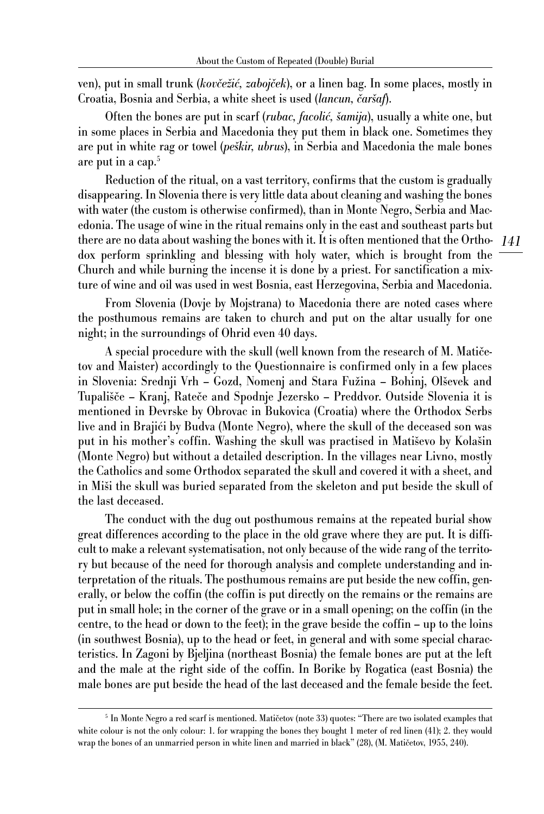ven), put in small trunk (*kovčežić, zabojček*), or a linen bag. In some places, mostly in Croatia, Bosnia and Serbia, a white sheet is used (*lancun, čaršaf*).

Often the bones are put in scarf (*rubac, facolić, šamija*), usually a white one, but in some places in Serbia and Macedonia they put them in black one. Sometimes they are put in white rag or towel (*peškir, ubrus*), in Serbia and Macedonia the male bones are put in a cap.<sup>5</sup>

*141* there are no data about washing the bones with it. It is often mentioned that the Ortho-Reduction of the ritual, on a vast territory, confirms that the custom is gradually disappearing. In Slovenia there is very little data about cleaning and washing the bones with water (the custom is otherwise confirmed), than in Monte Negro, Serbia and Macedonia. The usage of wine in the ritual remains only in the east and southeast parts but dox perform sprinkling and blessing with holy water, which is brought from the Church and while burning the incense it is done by a priest. For sanctification a mixture of wine and oil was used in west Bosnia, east Herzegovina, Serbia and Macedonia.

From Slovenia (Dovje by Mojstrana) to Macedonia there are noted cases where the posthumous remains are taken to church and put on the altar usually for one night; in the surroundings of Ohrid even 40 days.

A special procedure with the skull (well known from the research of M. Matičetov and Maister) accordingly to the Questionnaire is confirmed only in a few places in Slovenia: Srednji Vrh – Gozd, Nomenj and Stara Fužina – Bohinj, Olševek and Tupališče – Kranj, Rateče and Spodnje Jezersko – Preddvor. Outside Slovenia it is mentioned in Đevrske by Obrovac in Bukovica (Croatia) where the Orthodox Serbs live and in Brajići by Budva (Monte Negro), where the skull of the deceased son was put in his mother's coffin. Washing the skull was practised in Matiševo by Kolašin (Monte Negro) but without a detailed description. In the villages near Livno, mostly the Catholics and some Orthodox separated the skull and covered it with a sheet, and in Miši the skull was buried separated from the skeleton and put beside the skull of the last deceased.

The conduct with the dug out posthumous remains at the repeated burial show great differences according to the place in the old grave where they are put. It is difficult to make a relevant systematisation, not only because of the wide rang of the territory but because of the need for thorough analysis and complete understanding and interpretation of the rituals. The posthumous remains are put beside the new coffin, generally, or below the coffin (the coffin is put directly on the remains or the remains are put in small hole; in the corner of the grave or in a small opening; on the coffin (in the centre, to the head or down to the feet); in the grave beside the coffin – up to the loins (in southwest Bosnia), up to the head or feet, in general and with some special characteristics. In Zagoni by Bjeljina (northeast Bosnia) the female bones are put at the left and the male at the right side of the coffin. In Borike by Rogatica (east Bosnia) the male bones are put beside the head of the last deceased and the female beside the feet.

<sup>5</sup> In Monte Negro a red scarf is mentioned. Matičetov (note 33) quotes: "There are two isolated examples that white colour is not the only colour: 1. for wrapping the bones they bought 1 meter of red linen (41); 2. they would wrap the bones of an unmarried person in white linen and married in black" (28), (M. Matičetov, 1955, 240).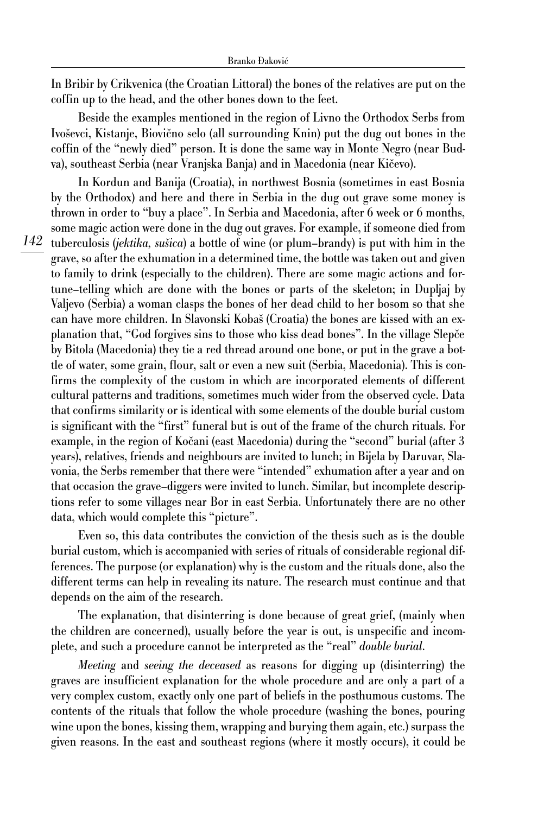In Bribir by Crikvenica (the Croatian Littoral) the bones of the relatives are put on the coffin up to the head, and the other bones down to the feet.

Beside the examples mentioned in the region of Livno the Orthodox Serbs from Ivoševci, Kistanje, Biovično selo (all surrounding Knin) put the dug out bones in the coffin of the "newly died" person. It is done the same way in Monte Negro (near Budva), southeast Serbia (near Vranjska Banja) and in Macedonia (near Kičevo).

In Kordun and Banija (Croatia), in northwest Bosnia (sometimes in east Bosnia by the Orthodox) and here and there in Serbia in the dug out grave some money is thrown in order to "buy a place". In Serbia and Macedonia, after 6 week or 6 months, some magic action were done in the dug out graves. For example, if someone died from tuberculosis (*jektika, sušica*) a bottle of wine (or plum–brandy) is put with him in the grave, so after the exhumation in a determined time, the bottle was taken out and given to family to drink (especially to the children). There are some magic actions and fortune–telling which are done with the bones or parts of the skeleton; in Dupljaj by Valjevo (Serbia) a woman clasps the bones of her dead child to her bosom so that she can have more children. In Slavonski Kobaš (Croatia) the bones are kissed with an explanation that, "God forgives sins to those who kiss dead bones". In the village Slepče by Bitola (Macedonia) they tie a red thread around one bone, or put in the grave a bottle of water, some grain, flour, salt or even a new suit (Serbia, Macedonia). This is confirms the complexity of the custom in which are incorporated elements of different cultural patterns and traditions, sometimes much wider from the observed cycle. Data that confirms similarity or is identical with some elements of the double burial custom is significant with the "first" funeral but is out of the frame of the church rituals. For example, in the region of Kočani (east Macedonia) during the "second" burial (after 3 years), relatives, friends and neighbours are invited to lunch; in Bijela by Daruvar, Slavonia, the Serbs remember that there were "intended" exhumation after a year and on that occasion the grave–diggers were invited to lunch. Similar, but incomplete descriptions refer to some villages near Bor in east Serbia. Unfortunately there are no other data, which would complete this "picture".

Even so, this data contributes the conviction of the thesis such as is the double burial custom, which is accompanied with series of rituals of considerable regional differences. The purpose (or explanation) why is the custom and the rituals done, also the different terms can help in revealing its nature. The research must continue and that depends on the aim of the research.

The explanation, that disinterring is done because of great grief, (mainly when the children are concerned), usually before the year is out, is unspecific and incomplete, and such a procedure cannot be interpreted as the "real" *double burial*.

*Meeting* and *seeing the deceased* as reasons for digging up (disinterring) the graves are insufficient explanation for the whole procedure and are only a part of a very complex custom, exactly only one part of beliefs in the posthumous customs. The contents of the rituals that follow the whole procedure (washing the bones, pouring wine upon the bones, kissing them, wrapping and burying them again, etc.) surpass the given reasons. In the east and southeast regions (where it mostly occurs), it could be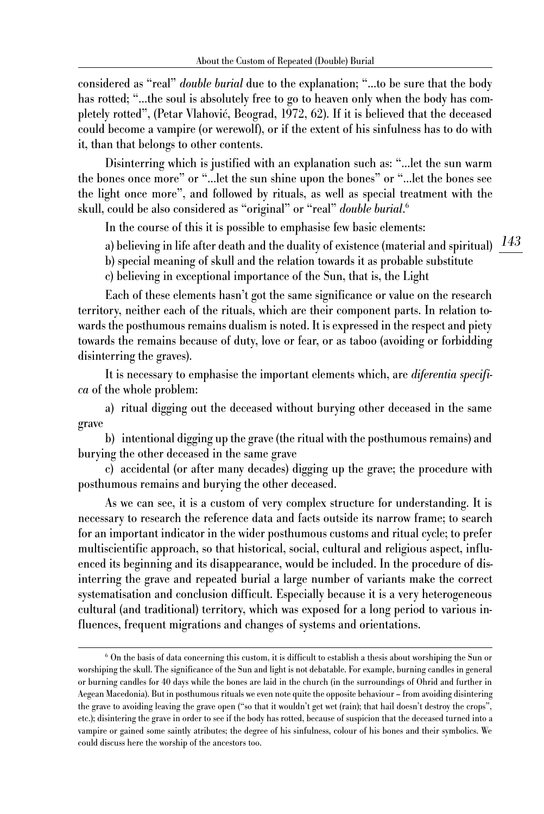considered as "real" *double burial* due to the explanation; "…to be sure that the body has rotted; "…the soul is absolutely free to go to heaven only when the body has completely rotted", (Petar Vlahović, Beograd, 1972, 62). If it is believed that the deceased could become a vampire (or werewolf), or if the extent of his sinfulness has to do with it, than that belongs to other contents.

Disinterring which is justified with an explanation such as: "…let the sun warm the bones once more" or "…let the sun shine upon the bones" or "…let the bones see the light once more", and followed by rituals, as well as special treatment with the skull, could be also considered as "original" or "real" *double burial*. 6

In the course of this it is possible to emphasise few basic elements:

a) believing in life after death and the duality of existence (material and spiritual)  $\frac{143}{2}$ 

c) believing in exceptional importance of the Sun, that is, the Light

Each of these elements hasn't got the same significance or value on the research territory, neither each of the rituals, which are their component parts. In relation towards the posthumous remains dualism is noted. It is expressed in the respect and piety towards the remains because of duty, love or fear, or as taboo (avoiding or forbidding disinterring the graves).

b) special meaning of skull and the relation towards it as probable substitute

It is necessary to emphasise the important elements which, are *diferentia specifica* of the whole problem:

a) ritual digging out the deceased without burying other deceased in the same grave

b) intentional digging up the grave (the ritual with the posthumous remains) and burying the other deceased in the same grave

c) accidental (or after many decades) digging up the grave; the procedure with posthumous remains and burying the other deceased.

As we can see, it is a custom of very complex structure for understanding. It is necessary to research the reference data and facts outside its narrow frame; to search for an important indicator in the wider posthumous customs and ritual cycle; to prefer multiscientific approach, so that historical, social, cultural and religious aspect, influenced its beginning and its disappearance, would be included. In the procedure of disinterring the grave and repeated burial a large number of variants make the correct systematisation and conclusion difficult. Especially because it is a very heterogeneous cultural (and traditional) territory, which was exposed for a long period to various influences, frequent migrations and changes of systems and orientations.

<sup>6</sup> On the basis of data concerning this custom, it is difficult to establish a thesis about worshiping the Sun or worshiping the skull. The significance of the Sun and light is not debatable. For example, burning candles in general or burning candles for 40 days while the bones are laid in the church (in the surroundings of Ohrid and further in Aegean Macedonia). But in posthumous rituals we even note quite the opposite behaviour – from avoiding disintering the grave to avoiding leaving the grave open ("so that it wouldn't get wet (rain); that hail doesn't destroy the crops", etc.); disintering the grave in order to see if the body has rotted, because of suspicion that the deceased turned into a vampire or gained some saintly atributes; the degree of his sinfulness, colour of his bones and their symbolics. We could discuss here the worship of the ancestors too.